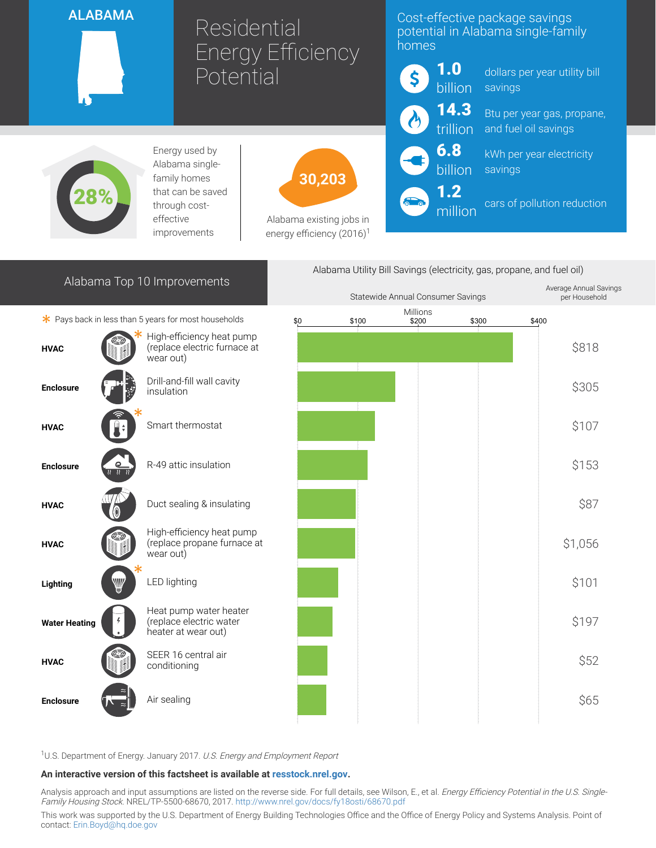## ALABAMA

Residential Energy Efficiency **Potential** 

## Cost-effective package savings potential in Alabama single-family homes



million

Alabama Utility Bill Savings (electricity, gas, propane, and fuel oil)

dollars per year utility bill savings

Btu per year gas, propane, and fuel oil savings

kWh per year electricity savings

cars of pollution reduction

Average Annual Savings per Household



Energy used by Alabama singlefamily homes that can be saved through costeffective improvements

30,203

Alabama existing jobs in energy efficiency  $(2016)^1$ 

| Alabama Top 10 Improvements                                 |                                                   |                                                                          |  | Statewide Annual Consumer Savings |  |       | Average Annual S<br>per Househo |         |
|-------------------------------------------------------------|---------------------------------------------------|--------------------------------------------------------------------------|--|-----------------------------------|--|-------|---------------------------------|---------|
| * Pays back in less than 5 years for most households<br>\$0 |                                                   |                                                                          |  | Millions<br>\$100<br>\$200        |  | \$300 | \$400                           |         |
| <b>HVAC</b>                                                 |                                                   | High-efficiency heat pump<br>(replace electric furnace at<br>wear out)   |  |                                   |  |       |                                 | \$818   |
| <b>Enclosure</b>                                            |                                                   | Drill-and-fill wall cavity<br>insulation                                 |  |                                   |  |       |                                 | \$305   |
| <b>HVAC</b>                                                 |                                                   | Smart thermostat                                                         |  |                                   |  |       |                                 | \$107   |
| <b>Enclosure</b>                                            | ௨<br>$\overline{n}$ $\overline{n}$ $\overline{n}$ | R-49 attic insulation                                                    |  |                                   |  |       |                                 | \$153   |
| <b>HVAC</b>                                                 |                                                   | Duct sealing & insulating                                                |  |                                   |  |       |                                 | \$87    |
| <b>HVAC</b>                                                 |                                                   | High-efficiency heat pump<br>(replace propane furnace at<br>wear out)    |  |                                   |  |       |                                 | \$1,056 |
| Lighting                                                    | ₩                                                 | <b>LED lighting</b>                                                      |  |                                   |  |       |                                 | \$101   |
| <b>Water Heating</b>                                        |                                                   | Heat pump water heater<br>(replace electric water<br>heater at wear out) |  |                                   |  |       |                                 | \$197   |
| <b>HVAC</b>                                                 |                                                   | SEER 16 central air<br>conditioning                                      |  |                                   |  |       |                                 | \$52    |
| <b>Enclosure</b>                                            | $\approx$                                         | Air sealing                                                              |  |                                   |  |       |                                 | \$65    |

<sup>1</sup>U.S. Department of Energy. January 2017. U.S. Energy and Employment Report

## An interactive version of this factsheet is available at [resstock.nrel.gov.](https://resstock.nrel.gov/)

Analysis approach and input assumptions are listed on the reverse side. For full details, see Wilson, E., et al. Energy Efficiency Potential in the U.S. Single-Family Housing Stock. NREL/TP-5500-68670, 2017. <http://www.nrel.gov/docs/fy18osti/68670.pdf>

This work was supported by the U.S. Department of Energy Building Technologies Office and the Office of Energy Policy and Systems Analysis. Point of contact: [Erin.Boyd@hq.doe.gov](mailto:Erin.Boyd@hq.doe.gov)